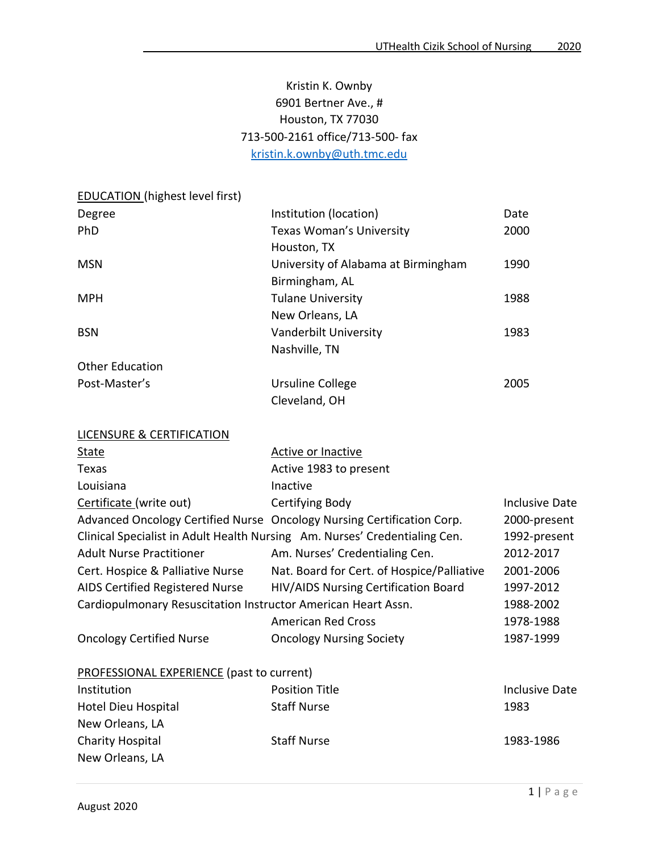# Kristin K. Ownby 6901 Bertner Ave., # Houston, TX 77030 713-500-2161 office/713-500- fax [kristin.k.ownby@uth.tmc.edu](mailto:kristin.k.ownby@uth.tmc.edu)

EDUCATION (highest level first)

| Degree                 | Institution (location)              | Date |
|------------------------|-------------------------------------|------|
| <b>PhD</b>             | <b>Texas Woman's University</b>     | 2000 |
|                        | Houston, TX                         |      |
| <b>MSN</b>             | University of Alabama at Birmingham | 1990 |
|                        | Birmingham, AL                      |      |
| <b>MPH</b>             | <b>Tulane University</b>            | 1988 |
|                        | New Orleans, LA                     |      |
| <b>BSN</b>             | Vanderbilt University               | 1983 |
|                        | Nashville, TN                       |      |
| <b>Other Education</b> |                                     |      |
| Post-Master's          | Ursuline College                    | 2005 |
|                        | Cleveland, OH                       |      |

| <b>LICENSURE &amp; CERTIFICATION</b>                          |                                                                            |                       |
|---------------------------------------------------------------|----------------------------------------------------------------------------|-----------------------|
| State                                                         | Active or Inactive                                                         |                       |
| Texas                                                         | Active 1983 to present                                                     |                       |
| Louisiana                                                     | Inactive                                                                   |                       |
| Certificate (write out)                                       | Certifying Body                                                            | Inclusive Date        |
|                                                               | Advanced Oncology Certified Nurse Oncology Nursing Certification Corp.     | 2000-present          |
|                                                               | Clinical Specialist in Adult Health Nursing Am. Nurses' Credentialing Cen. | 1992-present          |
| <b>Adult Nurse Practitioner</b>                               | Am. Nurses' Credentialing Cen.                                             | 2012-2017             |
| Cert. Hospice & Palliative Nurse                              | Nat. Board for Cert. of Hospice/Palliative                                 | 2001-2006             |
| AIDS Certified Registered Nurse                               | HIV/AIDS Nursing Certification Board                                       | 1997-2012             |
| Cardiopulmonary Resuscitation Instructor American Heart Assn. |                                                                            | 1988-2002             |
|                                                               | <b>American Red Cross</b>                                                  | 1978-1988             |
| <b>Oncology Certified Nurse</b>                               | <b>Oncology Nursing Society</b>                                            | 1987-1999             |
| <b>PROFESSIONAL EXPERIENCE (past to current)</b>              |                                                                            |                       |
| Institution                                                   | <b>Position Title</b>                                                      | <b>Inclusive Date</b> |
| Hotel Dieu Hospital                                           | <b>Staff Nurse</b>                                                         | 1983                  |
| New Orleans, LA                                               |                                                                            |                       |
| <b>Charity Hospital</b>                                       | <b>Staff Nurse</b>                                                         | 1983-1986             |

New Orleans, LA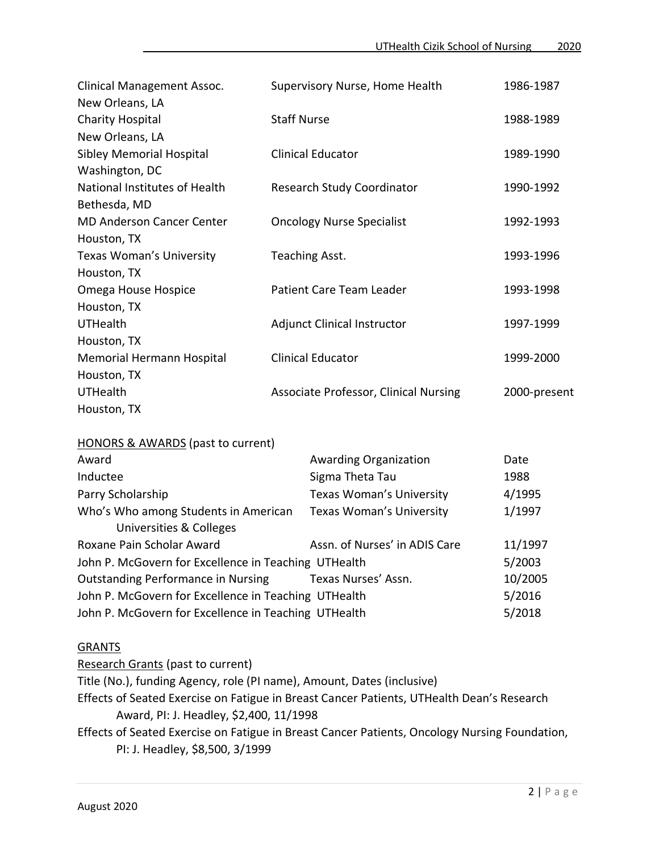| Clinical Management Assoc.       | Supervisory Nurse, Home Health               | 1986-1987    |
|----------------------------------|----------------------------------------------|--------------|
| New Orleans, LA                  |                                              |              |
| <b>Charity Hospital</b>          | <b>Staff Nurse</b>                           | 1988-1989    |
| New Orleans, LA                  |                                              |              |
| Sibley Memorial Hospital         | <b>Clinical Educator</b>                     | 1989-1990    |
| Washington, DC                   |                                              |              |
| National Institutes of Health    | <b>Research Study Coordinator</b>            | 1990-1992    |
| Bethesda, MD                     |                                              |              |
| <b>MD Anderson Cancer Center</b> | <b>Oncology Nurse Specialist</b>             | 1992-1993    |
| Houston, TX                      |                                              |              |
| <b>Texas Woman's University</b>  | Teaching Asst.                               | 1993-1996    |
| Houston, TX                      |                                              |              |
| Omega House Hospice              | Patient Care Team Leader                     | 1993-1998    |
| Houston, TX                      |                                              |              |
| <b>UTHealth</b>                  | <b>Adjunct Clinical Instructor</b>           | 1997-1999    |
| Houston, TX                      |                                              |              |
| Memorial Hermann Hospital        | <b>Clinical Educator</b>                     | 1999-2000    |
| Houston, TX                      |                                              |              |
| <b>UTHealth</b>                  | <b>Associate Professor, Clinical Nursing</b> | 2000-present |
| Houston, TX                      |                                              |              |

| HONORS & AWARDS (past to current)                               |                                 |         |
|-----------------------------------------------------------------|---------------------------------|---------|
| Award                                                           | <b>Awarding Organization</b>    | Date    |
| Inductee                                                        | Sigma Theta Tau                 | 1988    |
| Parry Scholarship                                               | <b>Texas Woman's University</b> | 4/1995  |
| Who's Who among Students in American<br>Universities & Colleges | Texas Woman's University        | 1/1997  |
| Roxane Pain Scholar Award                                       | Assn. of Nurses' in ADIS Care   | 11/1997 |
| John P. McGovern for Excellence in Teaching UTHealth            |                                 | 5/2003  |
| <b>Outstanding Performance in Nursing</b>                       | Texas Nurses' Assn.             | 10/2005 |
| John P. McGovern for Excellence in Teaching UTHealth            |                                 | 5/2016  |
| John P. McGovern for Excellence in Teaching UTHealth            |                                 | 5/2018  |

#### **GRANTS**

Research Grants (past to current) Title (No.), funding Agency, role (PI name), Amount, Dates (inclusive) Effects of Seated Exercise on Fatigue in Breast Cancer Patients, UTHealth Dean's Research Award, PI: J. Headley, \$2,400, 11/1998 Effects of Seated Exercise on Fatigue in Breast Cancer Patients, Oncology Nursing Foundation, PI: J. Headley, \$8,500, 3/1999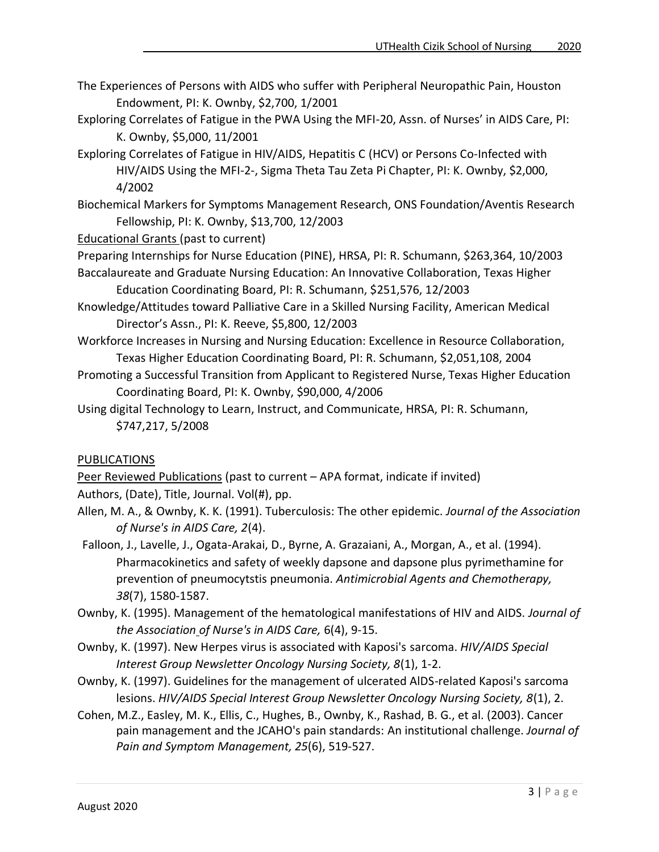- The Experiences of Persons with AIDS who suffer with Peripheral Neuropathic Pain, Houston Endowment, PI: K. Ownby, \$2,700, 1/2001
- Exploring Correlates of Fatigue in the PWA Using the MFI-20, Assn. of Nurses' in AIDS Care, PI: K. Ownby, \$5,000, 11/2001
- Exploring Correlates of Fatigue in HIV/AIDS, Hepatitis C (HCV) or Persons Co-Infected with HIV/AIDS Using the MFI-2-, Sigma Theta Tau Zeta Pi Chapter, PI: K. Ownby, \$2,000, 4/2002
- Biochemical Markers for Symptoms Management Research, ONS Foundation/Aventis Research Fellowship, PI: K. Ownby, \$13,700, 12/2003

Educational Grants (past to current)

Preparing Internships for Nurse Education (PINE), HRSA, PI: R. Schumann, \$263,364, 10/2003

- Baccalaureate and Graduate Nursing Education: An Innovative Collaboration, Texas Higher Education Coordinating Board, PI: R. Schumann, \$251,576, 12/2003
- Knowledge/Attitudes toward Palliative Care in a Skilled Nursing Facility, American Medical Director's Assn., PI: K. Reeve, \$5,800, 12/2003
- Workforce Increases in Nursing and Nursing Education: Excellence in Resource Collaboration, Texas Higher Education Coordinating Board, PI: R. Schumann, \$2,051,108, 2004
- Promoting a Successful Transition from Applicant to Registered Nurse, Texas Higher Education Coordinating Board, PI: K. Ownby, \$90,000, 4/2006
- Using digital Technology to Learn, Instruct, and Communicate, HRSA, PI: R. Schumann, \$747,217, 5/2008

## PUBLICATIONS

Peer Reviewed Publications (past to current – APA format, indicate if invited)

Authors, (Date), Title, Journal. Vol(#), pp.

- Allen, M. A., & Ownby, K. K. (1991). Tuberculosis: The other epidemic. *Journal of the Association of Nurse's in AIDS Care, 2*(4).
- Falloon, J., Lavelle, J., Ogata-Arakai, D., Byrne, A. Grazaiani, A., Morgan, A., et al. (1994). Pharmacokinetics and safety of weekly dapsone and dapsone plus pyrimethamine for prevention of pneumocytstis pneumonia. *Antimicrobial Agents and Chemotherapy, 38*(7), 1580-1587.
- Ownby, K. (1995). Management of the hematological manifestations of HIV and AIDS. *Journal of the Association of Nurse's in AIDS Care,* 6(4), 9-15.
- Ownby, K. (1997). New Herpes virus is associated with Kaposi's sarcoma. *HIV/AIDS Special Interest Group Newsletter Oncology Nursing Society, 8*(1), 1-2.
- Ownby, K. (1997). Guidelines for the management of ulcerated AlDS-related Kaposi's sarcoma lesions. *HIV/AIDS Special Interest Group Newsletter Oncology Nursing Society, 8*(1), 2.
- Cohen, M.Z., Easley, M. K., Ellis, C., Hughes, B., Ownby, K., Rashad, B. G., et al. (2003). Cancer pain management and the JCAHO's pain standards: An institutional challenge. *Journal of Pain and Symptom Management, 25*(6), 519-527.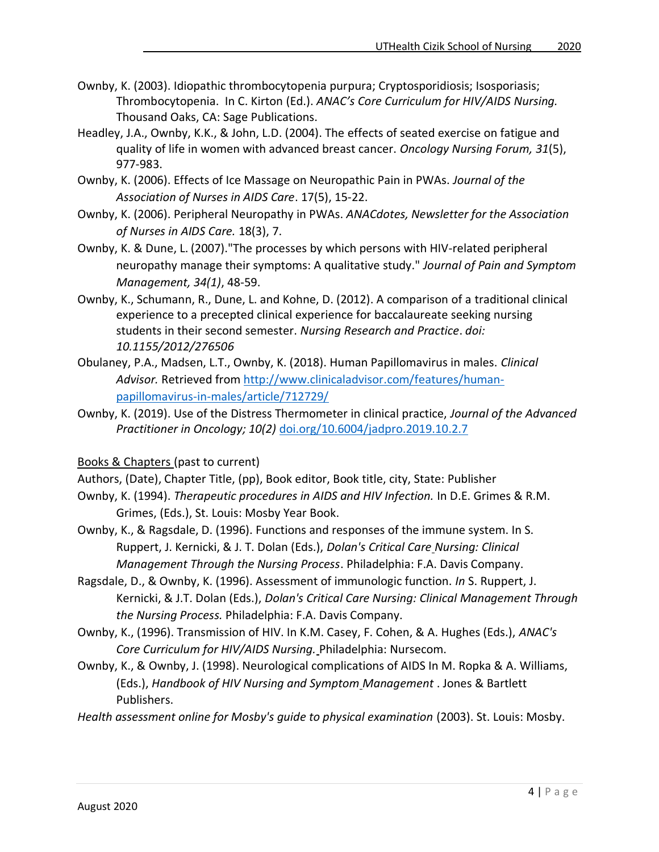- Ownby, K. (2003). Idiopathic thrombocytopenia purpura; Cryptosporidiosis; Isosporiasis; Thrombocytopenia. In C. Kirton (Ed.). *ANAC's Core Curriculum for HIV/AIDS Nursing.* Thousand Oaks, CA: Sage Publications.
- Headley, J.A., Ownby, K.K., & John, L.D. (2004). The effects of seated exercise on fatigue and quality of life in women with advanced breast cancer. *Oncology Nursing Forum, 31*(5), 977-983.
- Ownby, K. (2006). Effects of Ice Massage on Neuropathic Pain in PWAs. *Journal of the Association of Nurses in AIDS Care*. 17(5), 15-22.
- Ownby, K. (2006). Peripheral Neuropathy in PWAs. *ANACdotes, Newsletter for the Association of Nurses in AIDS Care.* 18(3), 7.
- Ownby, K. & Dune, L. (2007)."The processes by which persons with HIV-related peripheral neuropathy manage their symptoms: A qualitative study." *Journal of Pain and Symptom Management, 34(1)*, 48-59.
- Ownby, K., Schumann, R., Dune, L. and Kohne, D. (2012). A comparison of a traditional clinical experience to a precepted clinical experience for baccalaureate seeking nursing students in their second semester. *Nursing Research and Practice*. *doi: 10.1155/2012/276506*
- Obulaney, P.A., Madsen, L.T., Ownby, K. (2018). Human Papillomavirus in males. *Clinical Advisor.* Retrieved from [http://www.clinicaladvisor.com/features/human](http://www.clinicaladvisor.com/features/human-papillomavirus-in-males/article/712729/)[papillomavirus-in-males/article/712729/](http://www.clinicaladvisor.com/features/human-papillomavirus-in-males/article/712729/)
- Ownby, K. (2019). Use of the Distress Thermometer in clinical practice, *Journal of the Advanced Practitioner in Oncology; 10(2)* [doi.org/10.6004/jadpro.2019.10.2.7](https://doi.org/10.6004/jadpro.2019.10.2.7)

Books & Chapters (past to current)

- Authors, (Date), Chapter Title, (pp), Book editor, Book title, city, State: Publisher
- Ownby, K. (1994). *Therapeutic procedures in AIDS and HIV Infection.* In D.E. Grimes & R.M. Grimes, (Eds.), St. Louis: Mosby Year Book.
- Ownby, K., & Ragsdale, D. (1996). Functions and responses of the immune system. In S. Ruppert, J. Kernicki, & J. T. Dolan (Eds.), *Dolan's Critical Care Nursing: Clinical Management Through the Nursing Process*. Philadelphia: F.A. Davis Company.
- Ragsdale, D., & Ownby, K. (1996). Assessment of immunologic function. *In* S. Ruppert, J. Kernicki, & J.T. Dolan (Eds.), *Dolan's Critical Care Nursing: Clinical Management Through the Nursing Process.* Philadelphia: F.A. Davis Company.
- Ownby, K., (1996). Transmission of HIV. In K.M. Casey, F. Cohen, & A. Hughes (Eds.), *ANAC's Core Curriculum for HIV/AIDS Nursing.* Philadelphia: Nursecom.
- Ownby, K., & Ownby, J. (1998). Neurological complications of AIDS In M. Ropka & A. Williams, (Eds.), *Handbook of HIV Nursing and Symptom Management* . Jones & Bartlett Publishers.

*Health assessment online for Mosby's guide to physical examination* (2003). St. Louis: Mosby.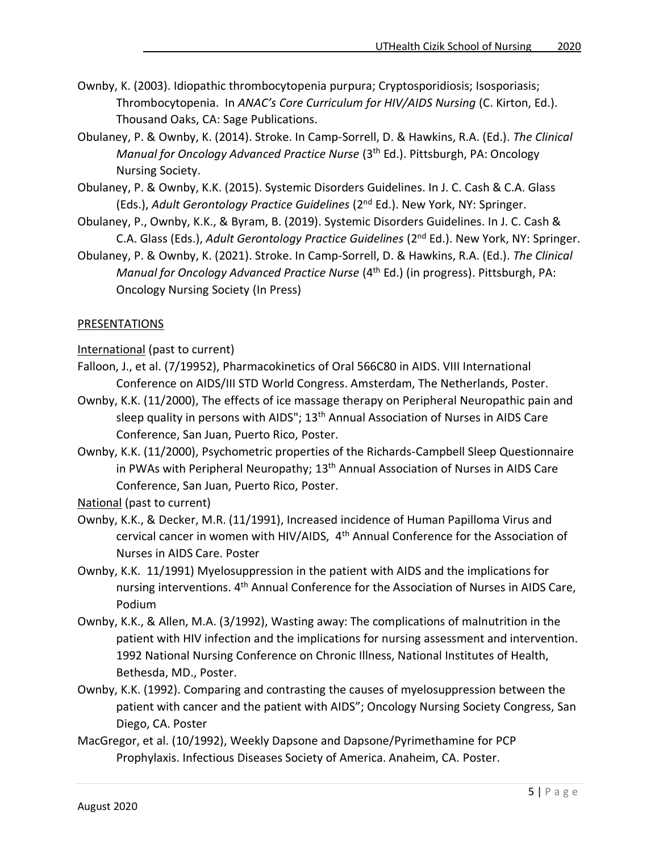- Ownby, K. (2003). Idiopathic thrombocytopenia purpura; Cryptosporidiosis; Isosporiasis; Thrombocytopenia. In *ANAC's Core Curriculum for HIV/AIDS Nursing* (C. Kirton, Ed.). Thousand Oaks, CA: Sage Publications.
- Obulaney, P. & Ownby, K. (2014). Stroke. In Camp-Sorrell, D. & Hawkins, R.A. (Ed.). *The Clinical Manual for Oncology Advanced Practice Nurse* (3th Ed.). Pittsburgh, PA: Oncology Nursing Society.
- Obulaney, P. & Ownby, K.K. (2015). Systemic Disorders Guidelines. In J. C. Cash & C.A. Glass (Eds.), *Adult Gerontology Practice Guidelines* (2nd Ed.). New York, NY: Springer.
- Obulaney, P., Ownby, K.K., & Byram, B. (2019). Systemic Disorders Guidelines. In J. C. Cash & C.A. Glass (Eds.), *Adult Gerontology Practice Guidelines* (2nd Ed.). New York, NY: Springer.
- Obulaney, P. & Ownby, K. (2021). Stroke. In Camp-Sorrell, D. & Hawkins, R.A. (Ed.). *The Clinical Manual for Oncology Advanced Practice Nurse* (4<sup>th</sup> Ed.) (in progress). Pittsburgh, PA: Oncology Nursing Society (In Press)

### PRESENTATIONS

International (past to current)

- Falloon, J., et al. (7/19952), Pharmacokinetics of Oral 566C80 in AIDS. VIII International Conference on AIDS/III STD World Congress. Amsterdam, The Netherlands, Poster.
- Ownby, K.K. (11/2000), The effects of ice massage therapy on Peripheral Neuropathic pain and sleep quality in persons with AIDS"; 13<sup>th</sup> Annual Association of Nurses in AIDS Care Conference, San Juan, Puerto Rico, Poster.
- Ownby, K.K. (11/2000), Psychometric properties of the Richards-Campbell Sleep Questionnaire in PWAs with Peripheral Neuropathy; 13<sup>th</sup> Annual Association of Nurses in AIDS Care Conference, San Juan, Puerto Rico, Poster.

National (past to current)

- Ownby, K.K., & Decker, M.R. (11/1991), Increased incidence of Human Papilloma Virus and cervical cancer in women with HIV/AIDS, 4th Annual Conference for the Association of Nurses in AIDS Care. Poster
- Ownby, K.K. 11/1991) Myelosuppression in the patient with AIDS and the implications for nursing interventions. 4<sup>th</sup> Annual Conference for the Association of Nurses in AIDS Care, Podium
- Ownby, K.K., & Allen, M.A. (3/1992), Wasting away: The complications of malnutrition in the patient with HIV infection and the implications for nursing assessment and intervention. 1992 National Nursing Conference on Chronic Illness, National Institutes of Health, Bethesda, MD., Poster.
- Ownby, K.K. (1992). Comparing and contrasting the causes of myelosuppression between the patient with cancer and the patient with AIDS"; Oncology Nursing Society Congress, San Diego, CA. Poster
- MacGregor, et al. (10/1992), Weekly Dapsone and Dapsone/Pyrimethamine for PCP Prophylaxis. Infectious Diseases Society of America. Anaheim, CA. Poster.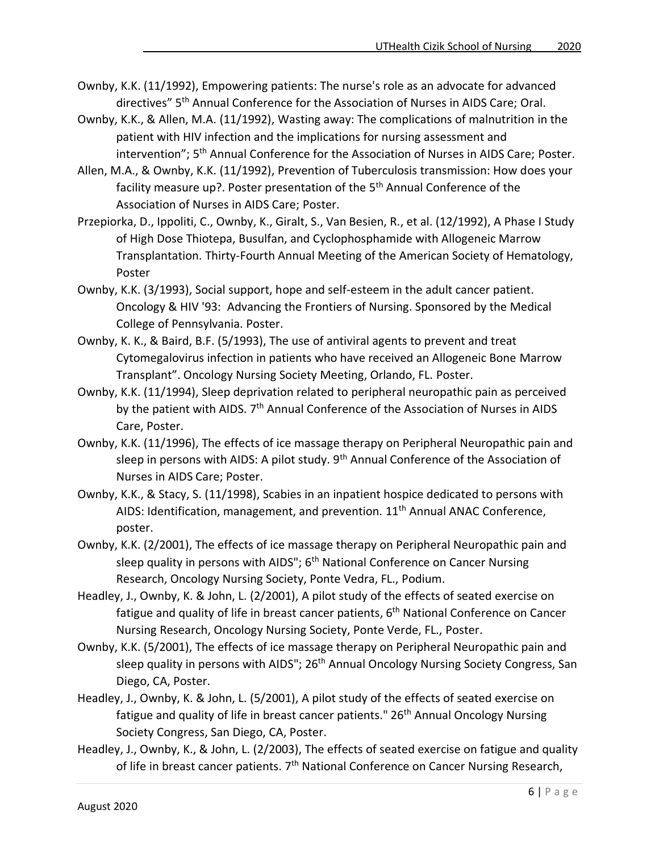- Ownby, K.K. (11/1992), Empowering patients: The nurse's role as an advocate for advanced directives" 5th Annual Conference for the Association of Nurses in AIDS Care; Oral.
- Ownby, K.K., & Allen, M.A. (11/1992), Wasting away: The complications of malnutrition in the patient with HIV infection and the implications for nursing assessment and intervention"; 5<sup>th</sup> Annual Conference for the Association of Nurses in AIDS Care; Poster.
- Allen, M.A., & Ownby, K.K. (11/1992), Prevention of Tuberculosis transmission: How does your facility measure up?. Poster presentation of the 5<sup>th</sup> Annual Conference of the Association of Nurses in AIDS Care; Poster.
- Przepiorka, D., Ippoliti, C., Ownby, K., Giralt, S., Van Besien, R., et al. (12/1992), A Phase I Study of High Dose Thiotepa, Busulfan, and Cyclophosphamide with Allogeneic Marrow Transplantation. Thirty-Fourth Annual Meeting of the American Society of Hematology, Poster
- Ownby, K.K. (3/1993), Social support, hope and self-esteem in the adult cancer patient. Oncology & HIV '93: Advancing the Frontiers of Nursing. Sponsored by the Medical College of Pennsylvania. Poster.
- Ownby, K. K., & Baird, B.F. (5/1993), The use of antiviral agents to prevent and treat Cytomegalovirus infection in patients who have received an Allogeneic Bone Marrow Transplant". Oncology Nursing Society Meeting, Orlando, FL. Poster.
- Ownby, K.K. (11/1994), Sleep deprivation related to peripheral neuropathic pain as perceived by the patient with AIDS. 7<sup>th</sup> Annual Conference of the Association of Nurses in AIDS Care, Poster.
- Ownby, K.K. (11/1996), The effects of ice massage therapy on Peripheral Neuropathic pain and sleep in persons with AIDS: A pilot study. 9<sup>th</sup> Annual Conference of the Association of Nurses in AIDS Care; Poster.
- Ownby, K.K., & Stacy, S. (11/1998), Scabies in an inpatient hospice dedicated to persons with AIDS: Identification, management, and prevention. 11<sup>th</sup> Annual ANAC Conference, poster.
- Ownby, K.K. (2/2001), The effects of ice massage therapy on Peripheral Neuropathic pain and sleep quality in persons with AIDS"; 6<sup>th</sup> National Conference on Cancer Nursing Research, Oncology Nursing Society, Ponte Vedra, FL., Podium.
- Headley, J., Ownby, K. & John, L. (2/2001), A pilot study of the effects of seated exercise on fatigue and quality of life in breast cancer patients, 6<sup>th</sup> National Conference on Cancer Nursing Research, Oncology Nursing Society, Ponte Verde, FL., Poster.
- Ownby, K.K. (5/2001), The effects of ice massage therapy on Peripheral Neuropathic pain and sleep quality in persons with AIDS"; 26<sup>th</sup> Annual Oncology Nursing Society Congress, San Diego, CA, Poster.
- Headley, J., Ownby, K. & John, L. (5/2001), A pilot study of the effects of seated exercise on fatigue and quality of life in breast cancer patients." 26<sup>th</sup> Annual Oncology Nursing Society Congress, San Diego, CA, Poster.
- Headley, J., Ownby, K., & John, L. (2/2003), The effects of seated exercise on fatigue and quality of life in breast cancer patients. 7<sup>th</sup> National Conference on Cancer Nursing Research,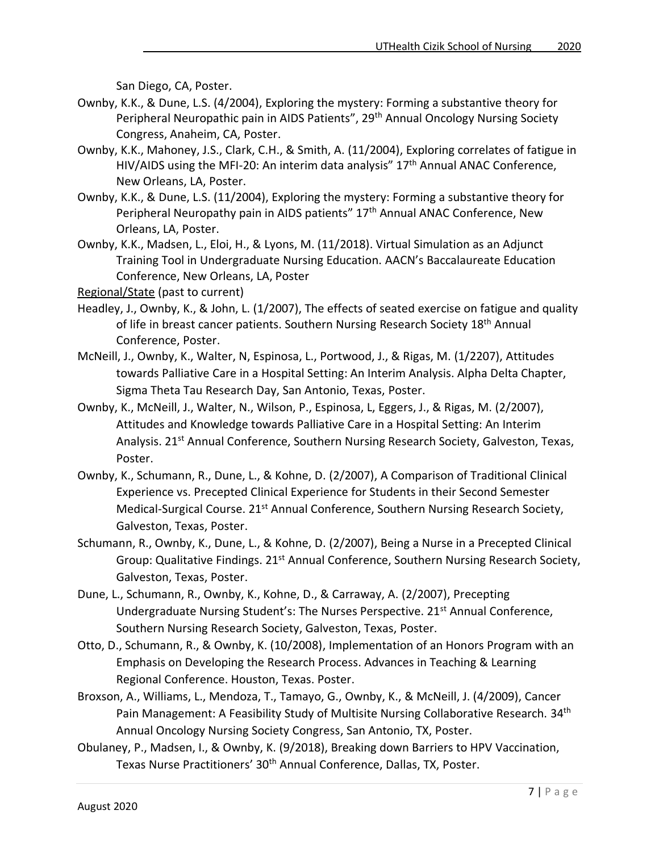San Diego, CA, Poster.

- Ownby, K.K., & Dune, L.S. (4/2004), Exploring the mystery: Forming a substantive theory for Peripheral Neuropathic pain in AIDS Patients", 29<sup>th</sup> Annual Oncology Nursing Society Congress, Anaheim, CA, Poster.
- Ownby, K.K., Mahoney, J.S., Clark, C.H., & Smith, A. (11/2004), Exploring correlates of fatigue in HIV/AIDS using the MFI-20: An interim data analysis" 17<sup>th</sup> Annual ANAC Conference, New Orleans, LA, Poster.
- Ownby, K.K., & Dune, L.S. (11/2004), Exploring the mystery: Forming a substantive theory for Peripheral Neuropathy pain in AIDS patients" 17<sup>th</sup> Annual ANAC Conference, New Orleans, LA, Poster.
- Ownby, K.K., Madsen, L., Eloi, H., & Lyons, M. (11/2018). Virtual Simulation as an Adjunct Training Tool in Undergraduate Nursing Education. AACN's Baccalaureate Education Conference, New Orleans, LA, Poster

Regional/State (past to current)

- Headley, J., Ownby, K., & John, L. (1/2007), The effects of seated exercise on fatigue and quality of life in breast cancer patients. Southern Nursing Research Society 18<sup>th</sup> Annual Conference, Poster.
- McNeill, J., Ownby, K., Walter, N, Espinosa, L., Portwood, J., & Rigas, M. (1/2207), Attitudes towards Palliative Care in a Hospital Setting: An Interim Analysis. Alpha Delta Chapter, Sigma Theta Tau Research Day, San Antonio, Texas, Poster.
- Ownby, K., McNeill, J., Walter, N., Wilson, P., Espinosa, L, Eggers, J., & Rigas, M. (2/2007), Attitudes and Knowledge towards Palliative Care in a Hospital Setting: An Interim Analysis. 21<sup>st</sup> Annual Conference, Southern Nursing Research Society, Galveston, Texas, Poster.
- Ownby, K., Schumann, R., Dune, L., & Kohne, D. (2/2007), A Comparison of Traditional Clinical Experience vs. Precepted Clinical Experience for Students in their Second Semester Medical-Surgical Course. 21<sup>st</sup> Annual Conference, Southern Nursing Research Society, Galveston, Texas, Poster.
- Schumann, R., Ownby, K., Dune, L., & Kohne, D. (2/2007), Being a Nurse in a Precepted Clinical Group: Qualitative Findings. 21<sup>st</sup> Annual Conference, Southern Nursing Research Society, Galveston, Texas, Poster.
- Dune, L., Schumann, R., Ownby, K., Kohne, D., & Carraway, A. (2/2007), Precepting Undergraduate Nursing Student's: The Nurses Perspective. 21<sup>st</sup> Annual Conference, Southern Nursing Research Society, Galveston, Texas, Poster.
- Otto, D., Schumann, R., & Ownby, K. (10/2008), Implementation of an Honors Program with an Emphasis on Developing the Research Process. Advances in Teaching & Learning Regional Conference. Houston, Texas. Poster.
- Broxson, A., Williams, L., Mendoza, T., Tamayo, G., Ownby, K., & McNeill, J. (4/2009), Cancer Pain Management: A Feasibility Study of Multisite Nursing Collaborative Research. 34<sup>th</sup> Annual Oncology Nursing Society Congress, San Antonio, TX, Poster.
- Obulaney, P., Madsen, I., & Ownby, K. (9/2018), Breaking down Barriers to HPV Vaccination, Texas Nurse Practitioners' 30<sup>th</sup> Annual Conference, Dallas, TX, Poster.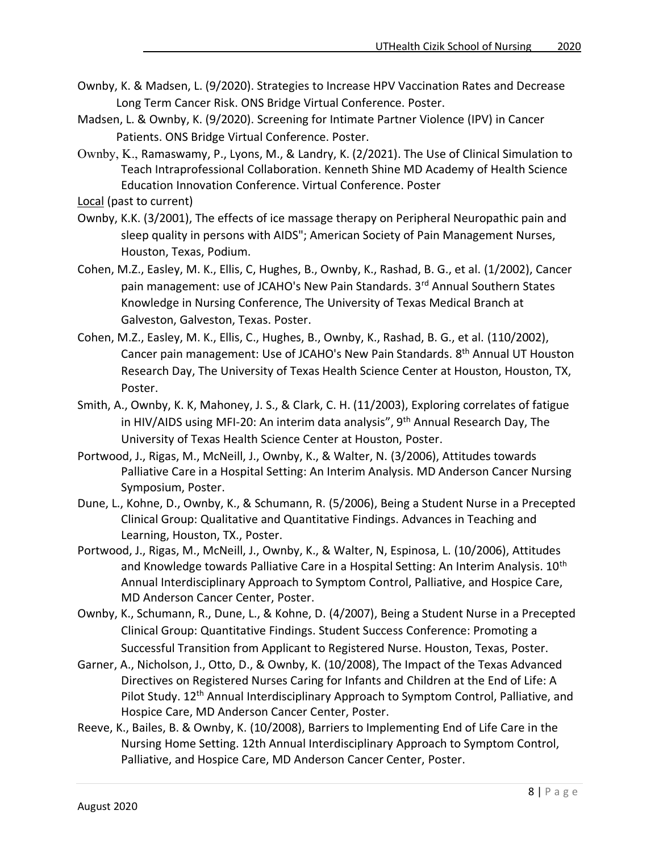- Ownby, K. & Madsen, L. (9/2020). Strategies to Increase HPV Vaccination Rates and Decrease Long Term Cancer Risk. ONS Bridge Virtual Conference. Poster.
- Madsen, L. & Ownby, K. (9/2020). Screening for Intimate Partner Violence (IPV) in Cancer Patients. ONS Bridge Virtual Conference. Poster.
- Ownby, K., Ramaswamy, P., Lyons, M., & Landry, K. (2/2021). The Use of Clinical Simulation to Teach Intraprofessional Collaboration. Kenneth Shine MD Academy of Health Science Education Innovation Conference. Virtual Conference. Poster

Local (past to current)

- Ownby, K.K. (3/2001), The effects of ice massage therapy on Peripheral Neuropathic pain and sleep quality in persons with AIDS"; American Society of Pain Management Nurses, Houston, Texas, Podium.
- Cohen, M.Z., Easley, M. K., Ellis, C, Hughes, B., Ownby, K., Rashad, B. G., et al. (1/2002), Cancer pain management: use of JCAHO's New Pain Standards. 3<sup>rd</sup> Annual Southern States Knowledge in Nursing Conference, The University of Texas Medical Branch at Galveston, Galveston, Texas. Poster.
- Cohen, M.Z., Easley, M. K., Ellis, C., Hughes, B., Ownby, K., Rashad, B. G., et al. (110/2002), Cancer pain management: Use of JCAHO's New Pain Standards. 8<sup>th</sup> Annual UT Houston Research Day, The University of Texas Health Science Center at Houston, Houston, TX, Poster.
- Smith, A., Ownby, K. K, Mahoney, J. S., & Clark, C. H. (11/2003), Exploring correlates of fatigue in HIV/AIDS using MFI-20: An interim data analysis", 9th Annual Research Day, The University of Texas Health Science Center at Houston, Poster.
- Portwood, J., Rigas, M., McNeill, J., Ownby, K., & Walter, N. (3/2006), Attitudes towards Palliative Care in a Hospital Setting: An Interim Analysis. MD Anderson Cancer Nursing Symposium, Poster.
- Dune, L., Kohne, D., Ownby, K., & Schumann, R. (5/2006), Being a Student Nurse in a Precepted Clinical Group: Qualitative and Quantitative Findings. Advances in Teaching and Learning, Houston, TX., Poster.
- Portwood, J., Rigas, M., McNeill, J., Ownby, K., & Walter, N, Espinosa, L. (10/2006), Attitudes and Knowledge towards Palliative Care in a Hospital Setting: An Interim Analysis. 10<sup>th</sup> Annual Interdisciplinary Approach to Symptom Control, Palliative, and Hospice Care, MD Anderson Cancer Center, Poster.
- Ownby, K., Schumann, R., Dune, L., & Kohne, D. (4/2007), Being a Student Nurse in a Precepted Clinical Group: Quantitative Findings. Student Success Conference: Promoting a Successful Transition from Applicant to Registered Nurse. Houston, Texas, Poster.
- Garner, A., Nicholson, J., Otto, D., & Ownby, K. (10/2008), The Impact of the Texas Advanced Directives on Registered Nurses Caring for Infants and Children at the End of Life: A Pilot Study. 12<sup>th</sup> Annual Interdisciplinary Approach to Symptom Control, Palliative, and Hospice Care, MD Anderson Cancer Center, Poster.
- Reeve, K., Bailes, B. & Ownby, K. (10/2008), Barriers to Implementing End of Life Care in the Nursing Home Setting. 12th Annual Interdisciplinary Approach to Symptom Control, Palliative, and Hospice Care, MD Anderson Cancer Center, Poster.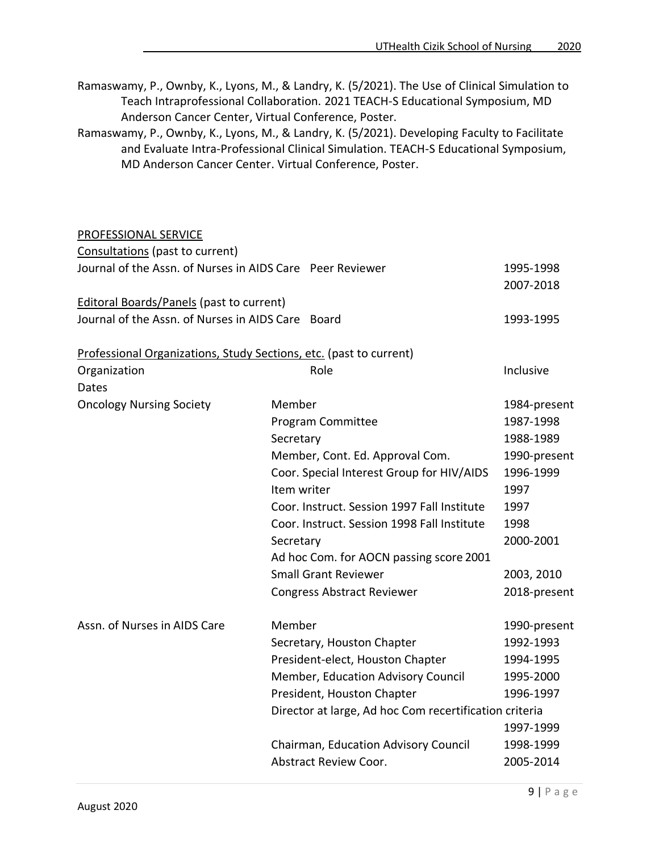- Ramaswamy, P., Ownby, K., Lyons, M., & Landry, K. (5/2021). The Use of Clinical Simulation to Teach Intraprofessional Collaboration. 2021 TEACH-S Educational Symposium, MD Anderson Cancer Center, Virtual Conference, Poster.
- Ramaswamy, P., Ownby, K., Lyons, M., & Landry, K. (5/2021). Developing Faculty to Facilitate and Evaluate Intra-Professional Clinical Simulation. TEACH-S Educational Symposium, MD Anderson Cancer Center. Virtual Conference, Poster.

#### PROFESSIONAL SERVICE

| Consultations (past to current)                           |                                                                    |                        |
|-----------------------------------------------------------|--------------------------------------------------------------------|------------------------|
| Journal of the Assn. of Nurses in AIDS Care Peer Reviewer |                                                                    | 1995-1998<br>2007-2018 |
| <b>Editoral Boards/Panels (past to current)</b>           |                                                                    |                        |
| Journal of the Assn. of Nurses in AIDS Care Board         |                                                                    | 1993-1995              |
|                                                           | Professional Organizations, Study Sections, etc. (past to current) |                        |
| Organization<br><b>Dates</b>                              | Role                                                               | Inclusive              |
| <b>Oncology Nursing Society</b>                           | Member                                                             | 1984-present           |
|                                                           | Program Committee                                                  | 1987-1998              |
|                                                           | Secretary                                                          | 1988-1989              |
|                                                           | Member, Cont. Ed. Approval Com.                                    | 1990-present           |
|                                                           | Coor. Special Interest Group for HIV/AIDS                          | 1996-1999              |
|                                                           | Item writer                                                        | 1997                   |
|                                                           | Coor. Instruct. Session 1997 Fall Institute                        | 1997                   |
|                                                           | Coor. Instruct. Session 1998 Fall Institute                        | 1998                   |
|                                                           | Secretary                                                          | 2000-2001              |
|                                                           | Ad hoc Com. for AOCN passing score 2001                            |                        |
|                                                           | <b>Small Grant Reviewer</b>                                        | 2003, 2010             |
|                                                           | <b>Congress Abstract Reviewer</b>                                  | 2018-present           |
| Assn. of Nurses in AIDS Care                              | Member                                                             | 1990-present           |
|                                                           | Secretary, Houston Chapter                                         | 1992-1993              |
|                                                           | President-elect, Houston Chapter                                   | 1994-1995              |
|                                                           | Member, Education Advisory Council                                 | 1995-2000              |
|                                                           | President, Houston Chapter                                         | 1996-1997              |
|                                                           | Director at large, Ad hoc Com recertification criteria             |                        |
|                                                           |                                                                    | 1997-1999              |
|                                                           | Chairman, Education Advisory Council                               | 1998-1999              |
|                                                           | <b>Abstract Review Coor.</b>                                       | 2005-2014              |